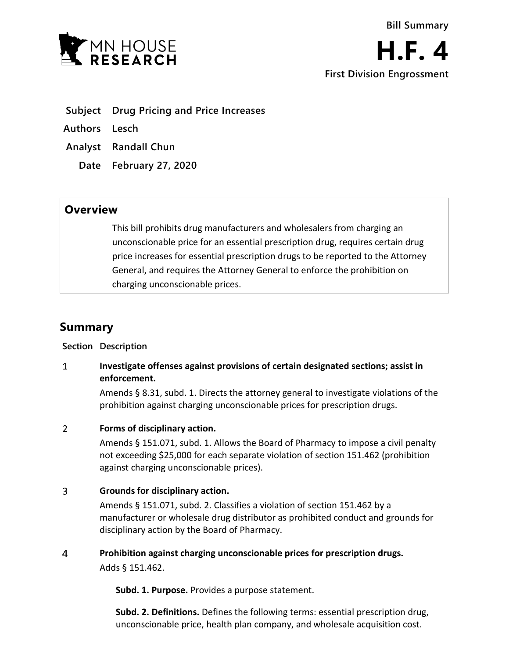



- **Subject Drug Pricing and Price Increases**
- **Authors Lesch**
- **Analyst Randall Chun**
	- **Date February 27, 2020**

## **Overview**

This bill prohibits drug manufacturers and wholesalers from charging an unconscionable price for an essential prescription drug, requires certain drug price increases for essential prescription drugs to be reported to the Attorney General, and requires the Attorney General to enforce the prohibition on charging unconscionable prices.

# **Summary**

## **Section Description**

### $\mathbf{1}$ **Investigate offenses against provisions of certain designated sections; assist in enforcement.**

Amends § 8.31, subd. 1. Directs the attorney general to investigate violations of the prohibition against charging unconscionable prices for prescription drugs.

#### $\overline{2}$ **Forms of disciplinary action.**

Amends § 151.071, subd. 1. Allows the Board of Pharmacy to impose a civil penalty not exceeding \$25,000 for each separate violation of section 151.462 (prohibition against charging unconscionable prices).

#### $\overline{3}$ **Grounds for disciplinary action.**

Amends § 151.071, subd. 2. Classifies a violation of section 151.462 by a manufacturer or wholesale drug distributor as prohibited conduct and grounds for disciplinary action by the Board of Pharmacy.

#### $\overline{4}$ **Prohibition against charging unconscionable prices for prescription drugs.**

Adds § 151.462.

**Subd. 1. Purpose.** Provides a purpose statement.

**Subd. 2. Definitions.** Defines the following terms: essential prescription drug, unconscionable price, health plan company, and wholesale acquisition cost.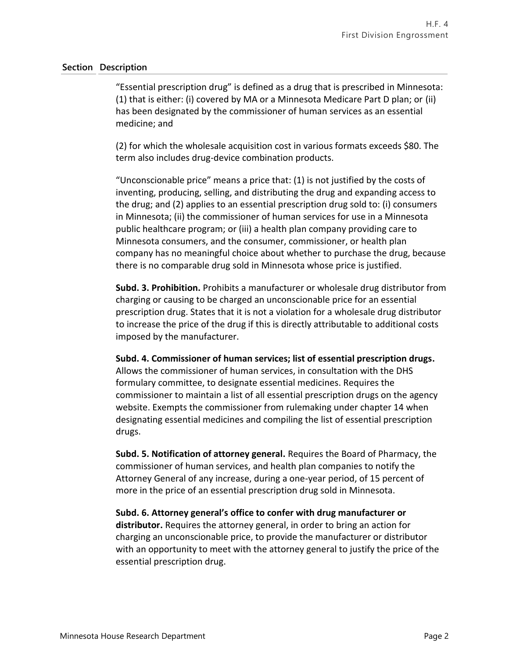## **Section Description**

"Essential prescription drug" is defined as a drug that is prescribed in Minnesota: (1) that is either: (i) covered by MA or a Minnesota Medicare Part D plan; or (ii) has been designated by the commissioner of human services as an essential medicine; and

(2) for which the wholesale acquisition cost in various formats exceeds \$80. The term also includes drug-device combination products.

"Unconscionable price" means a price that: (1) is not justified by the costs of inventing, producing, selling, and distributing the drug and expanding access to the drug; and (2) applies to an essential prescription drug sold to: (i) consumers in Minnesota; (ii) the commissioner of human services for use in a Minnesota public healthcare program; or (iii) a health plan company providing care to Minnesota consumers, and the consumer, commissioner, or health plan company has no meaningful choice about whether to purchase the drug, because there is no comparable drug sold in Minnesota whose price is justified.

**Subd. 3. Prohibition.** Prohibits a manufacturer or wholesale drug distributor from charging or causing to be charged an unconscionable price for an essential prescription drug. States that it is not a violation for a wholesale drug distributor to increase the price of the drug if this is directly attributable to additional costs imposed by the manufacturer.

**Subd. 4. Commissioner of human services; list of essential prescription drugs.** Allows the commissioner of human services, in consultation with the DHS formulary committee, to designate essential medicines. Requires the commissioner to maintain a list of all essential prescription drugs on the agency website. Exempts the commissioner from rulemaking under chapter 14 when designating essential medicines and compiling the list of essential prescription drugs.

**Subd. 5. Notification of attorney general.** Requires the Board of Pharmacy, the commissioner of human services, and health plan companies to notify the Attorney General of any increase, during a one-year period, of 15 percent of more in the price of an essential prescription drug sold in Minnesota.

**Subd. 6. Attorney general's office to confer with drug manufacturer or distributor.** Requires the attorney general, in order to bring an action for charging an unconscionable price, to provide the manufacturer or distributor with an opportunity to meet with the attorney general to justify the price of the essential prescription drug.